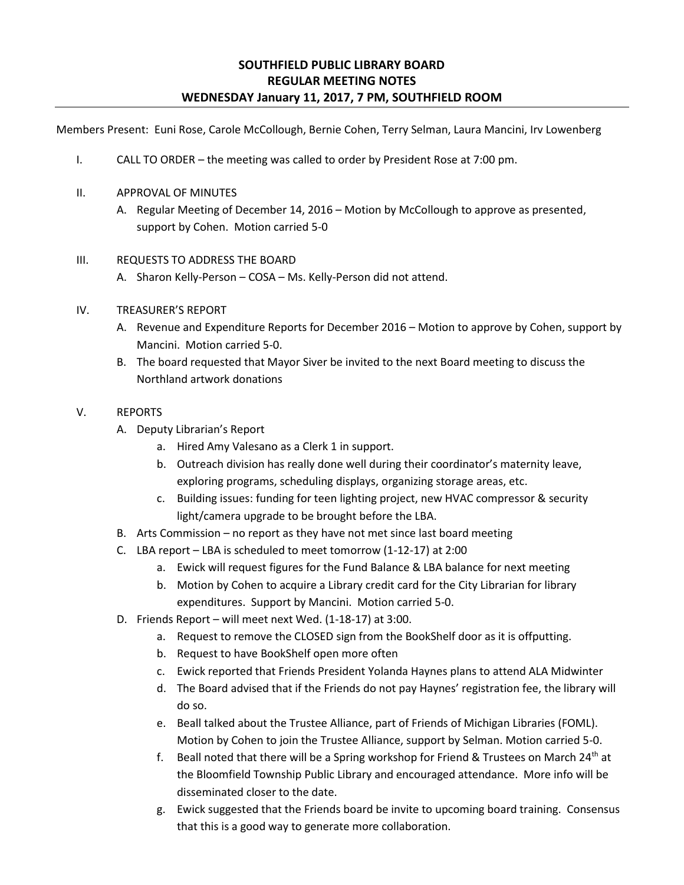# **SOUTHFIELD PUBLIC LIBRARY BOARD REGULAR MEETING NOTES WEDNESDAY January 11, 2017, 7 PM, SOUTHFIELD ROOM**

Members Present: Euni Rose, Carole McCollough, Bernie Cohen, Terry Selman, Laura Mancini, Irv Lowenberg

- I. CALL TO ORDER the meeting was called to order by President Rose at 7:00 pm.
- II. APPROVAL OF MINUTES
	- A. Regular Meeting of December 14, 2016 Motion by McCollough to approve as presented, support by Cohen. Motion carried 5-0

## III. REQUESTS TO ADDRESS THE BOARD

A. Sharon Kelly-Person – COSA – Ms. Kelly-Person did not attend.

- IV. TREASURER'S REPORT
	- A. Revenue and Expenditure Reports for December 2016 Motion to approve by Cohen, support by Mancini. Motion carried 5-0.
	- B. The board requested that Mayor Siver be invited to the next Board meeting to discuss the Northland artwork donations

## V. REPORTS

- A. Deputy Librarian's Report
	- a. Hired Amy Valesano as a Clerk 1 in support.
	- b. Outreach division has really done well during their coordinator's maternity leave, exploring programs, scheduling displays, organizing storage areas, etc.
	- c. Building issues: funding for teen lighting project, new HVAC compressor & security light/camera upgrade to be brought before the LBA.
- B. Arts Commission no report as they have not met since last board meeting
- C. LBA report LBA is scheduled to meet tomorrow (1-12-17) at 2:00
	- a. Ewick will request figures for the Fund Balance & LBA balance for next meeting
	- b. Motion by Cohen to acquire a Library credit card for the City Librarian for library expenditures. Support by Mancini. Motion carried 5-0.
- D. Friends Report will meet next Wed. (1-18-17) at 3:00.
	- a. Request to remove the CLOSED sign from the BookShelf door as it is offputting.
	- b. Request to have BookShelf open more often
	- c. Ewick reported that Friends President Yolanda Haynes plans to attend ALA Midwinter
	- d. The Board advised that if the Friends do not pay Haynes' registration fee, the library will do so.
	- e. Beall talked about the Trustee Alliance, part of Friends of Michigan Libraries (FOML). Motion by Cohen to join the Trustee Alliance, support by Selman. Motion carried 5-0.
	- f. Beall noted that there will be a Spring workshop for Friend & Trustees on March 24<sup>th</sup> at the Bloomfield Township Public Library and encouraged attendance. More info will be disseminated closer to the date.
	- g. Ewick suggested that the Friends board be invite to upcoming board training. Consensus that this is a good way to generate more collaboration.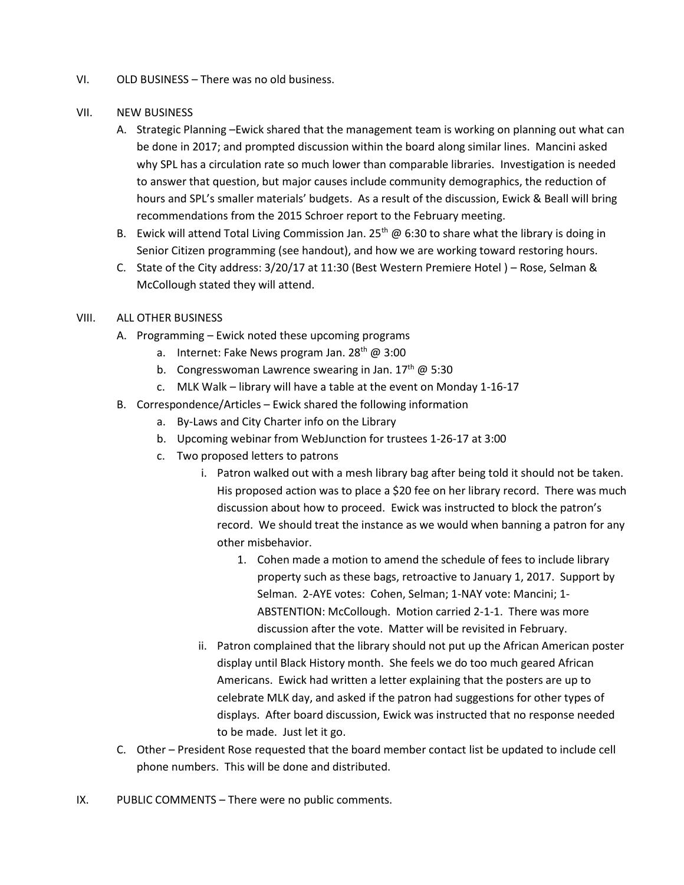VI. OLD BUSINESS – There was no old business.

#### VII. NEW BUSINESS

- A. Strategic Planning –Ewick shared that the management team is working on planning out what can be done in 2017; and prompted discussion within the board along similar lines. Mancini asked why SPL has a circulation rate so much lower than comparable libraries. Investigation is needed to answer that question, but major causes include community demographics, the reduction of hours and SPL's smaller materials' budgets. As a result of the discussion, Ewick & Beall will bring recommendations from the 2015 Schroer report to the February meeting.
- B. Ewick will attend Total Living Commission Jan. 25<sup>th</sup> @ 6:30 to share what the library is doing in Senior Citizen programming (see handout), and how we are working toward restoring hours.
- C. State of the City address: 3/20/17 at 11:30 (Best Western Premiere Hotel ) Rose, Selman & McCollough stated they will attend.

#### VIII. ALL OTHER BUSINESS

- A. Programming Ewick noted these upcoming programs
	- a. Internet: Fake News program Jan.  $28<sup>th</sup>$  @ 3:00
	- b. Congresswoman Lawrence swearing in Jan.  $17<sup>th</sup>$  @ 5:30
	- c. MLK Walk library will have a table at the event on Monday 1-16-17
- B. Correspondence/Articles Ewick shared the following information
	- a. By-Laws and City Charter info on the Library
	- b. Upcoming webinar from WebJunction for trustees 1-26-17 at 3:00
	- c. Two proposed letters to patrons
		- i. Patron walked out with a mesh library bag after being told it should not be taken. His proposed action was to place a \$20 fee on her library record. There was much discussion about how to proceed. Ewick was instructed to block the patron's record. We should treat the instance as we would when banning a patron for any other misbehavior.
			- 1. Cohen made a motion to amend the schedule of fees to include library property such as these bags, retroactive to January 1, 2017. Support by Selman. 2-AYE votes: Cohen, Selman; 1-NAY vote: Mancini; 1- ABSTENTION: McCollough. Motion carried 2-1-1. There was more discussion after the vote. Matter will be revisited in February.
		- ii. Patron complained that the library should not put up the African American poster display until Black History month. She feels we do too much geared African Americans. Ewick had written a letter explaining that the posters are up to celebrate MLK day, and asked if the patron had suggestions for other types of displays. After board discussion, Ewick was instructed that no response needed to be made. Just let it go.
- C. Other President Rose requested that the board member contact list be updated to include cell phone numbers. This will be done and distributed.
- IX. PUBLIC COMMENTS There were no public comments.